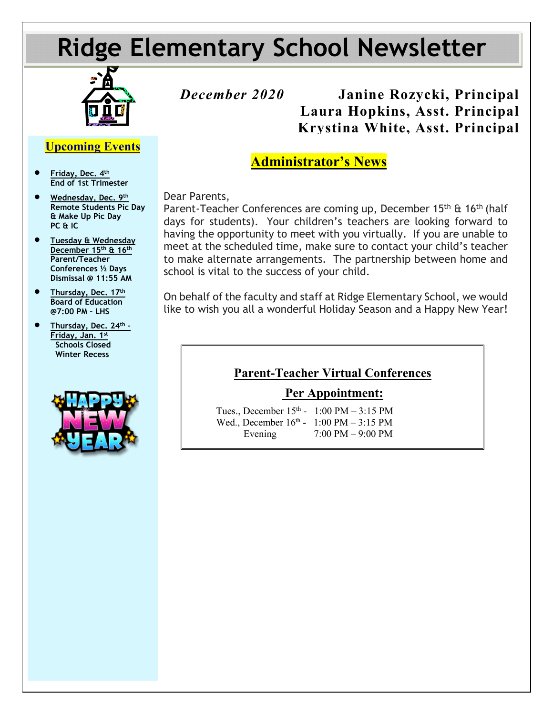# **Ridge Elementary School Newsletter**



# *December 2020* **Janine Rozycki, Principal Laura Hopkins, Asst. Principal Krystina White, Asst. Principal**

## **Administrator's News**

Dear Parents,

Parent-Teacher Conferences are coming up, December 15<sup>th</sup> & 16<sup>th</sup> (half days for students). Your children's teachers are looking forward to having the opportunity to meet with you virtually. If you are unable to meet at the scheduled time, make sure to contact your child's teacher to make alternate arrangements. The partnership between home and school is vital to the success of your child.

On behalf of the faculty and staff at Ridge Elementary School, we would like to wish you all a wonderful Holiday Season and a Happy New Year!

### **Parent-Teacher Virtual Conferences**

#### **Per Appointment:**

Tues., December  $15<sup>th</sup>$  - 1:00 PM – 3:15 PM Wed., December  $16^{th}$  - 1:00 PM – 3:15 PM Evening 7:00 PM – 9:00 PM

 • **Wednesday, Dec. 9th Remote Students Pic Day & Make Up Pic Day PC & IC**

• **Friday, Dec. 4th End of 1st Trimester**

**Upcoming Events**

- **Tuesday & Wednesday December 15th & 16th Parent/Teacher Conferences ½ Days Dismissal @ 11:55 AM**
- **Thursday, Dec. 17th Board of Education @7:00 PM – LHS**
- P **Thursday, Dec. 24th – Friday, Jan. 1st Schools Closed Winter Recess**

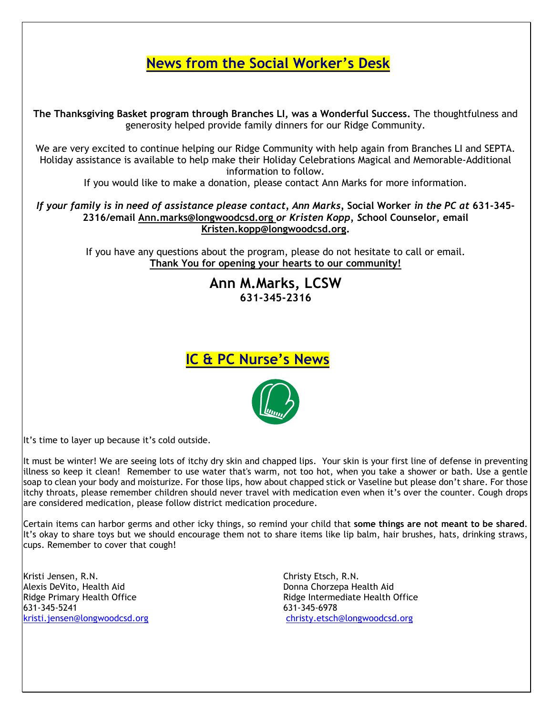# **News from the Social Worker's Desk**

**The Thanksgiving Basket program through Branches LI, was a Wonderful Success.** The thoughtfulness and generosity helped provide family dinners for our Ridge Community.

We are very excited to continue helping our Ridge Community with help again from Branches LI and SEPTA. Holiday assistance is available to help make their Holiday Celebrations Magical and Memorable-Additional information to follow.

If you would like to make a donation, please contact Ann Marks for more information.

*If your family is in need of assistance please contact, Ann Marks,* **Social Worker** *in the PC at* **631-345- 2316/email [Ann.marks@longwoodcsd.org](mailto:Ann.marks@longwoodcsd.org)** *or Kristen Kopp, S***chool Counselor, email [Kristen.kopp@longwoodcsd.org.](mailto:Kristen.kopp@longwoodcsd.org)**

> If you have any questions about the program, please do not hesitate to call or email. **Thank You for opening your hearts to our community!**

> > **Ann M.Marks, LCSW 631-345-2316**





It's time to layer up because it's cold outside.

It must be winter! We are seeing lots of itchy dry skin and chapped lips. Your skin is your first line of defense in preventing illness so keep it clean! Remember to use water that's warm, not too hot, when you take a shower or bath. Use a gentle soap to clean your body and moisturize. For those lips, how about chapped stick or Vaseline but please don't share. For those itchy throats, please remember children should never travel with medication even when it's over the counter. Cough drops are considered medication, please follow district medication procedure.

Certain items can harbor germs and other icky things, so remind your child that **some things are not meant to be shared**. It's okay to share toys but we should encourage them not to share items like lip balm, hair brushes, hats, drinking straws, cups. Remember to cover that cough!

Kristi Jensen, R.N. Christy Etsch, R.N. Alexis DeVito, Health Aid Donna Chorzepa Health Aid 631-345-5241 631-345-6978

Ridge Primary Health Office **Ridge Intermediate Health Office** Ridge Intermediate Health Office [kristi.jensen@longwoodcsd.org](mailto:kristi.jensen@longwoodcsd.org) [christy.etsch@longwoodcsd.org](mailto:christy.etsch@longwoodcsd.org)